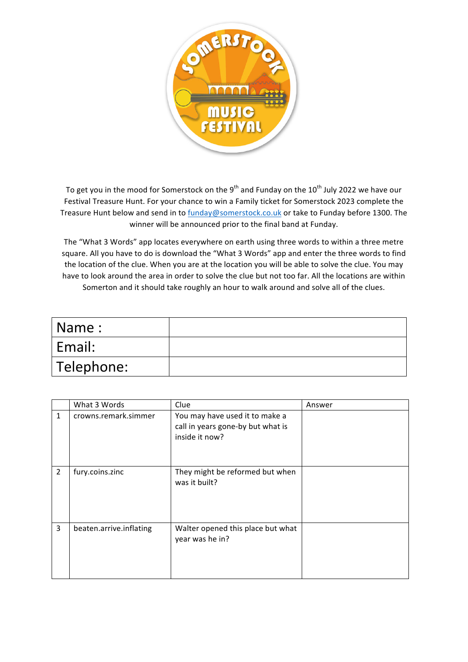

To get you in the mood for Somerstock on the 9<sup>th</sup> and Funday on the 10<sup>th</sup> July 2022 we have our Festival Treasure Hunt. For your chance to win a Family ticket for Somerstock 2023 complete the Treasure Hunt below and send in to funday@somerstock.co.uk or take to Funday before 1300. The winner will be announced prior to the final band at Funday.

The "What 3 Words" app locates everywhere on earth using three words to within a three metre square. All you have to do is download the "What 3 Words" app and enter the three words to find the location of the clue. When you are at the location you will be able to solve the clue. You may have to look around the area in order to solve the clue but not too far. All the locations are within Somerton and it should take roughly an hour to walk around and solve all of the clues.

| Name:      |  |
|------------|--|
| Email:     |  |
| Telephone: |  |

|                | What 3 Words            | Clue                                                                                  | Answer |
|----------------|-------------------------|---------------------------------------------------------------------------------------|--------|
| 1              | crowns.remark.simmer    | You may have used it to make a<br>call in years gone-by but what is<br>inside it now? |        |
| $\overline{2}$ | fury.coins.zinc         | They might be reformed but when<br>was it built?                                      |        |
| 3              | beaten.arrive.inflating | Walter opened this place but what<br>year was he in?                                  |        |